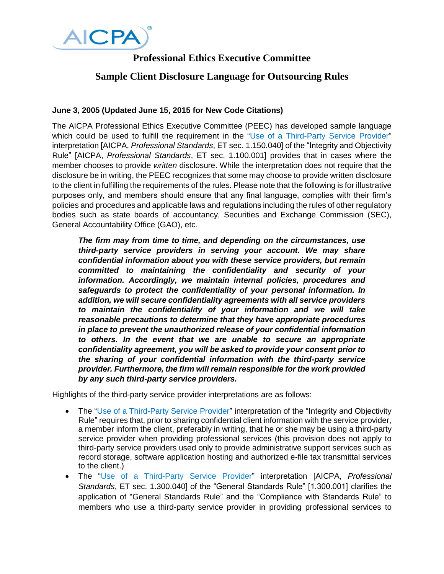

## **Professional Ethics Executive Committee**

## **Sample Client Disclosure Language for Outsourcing Rules**

## **June 3, 2005 (Updated June 15, 2015 for New Code Citations)**

The AICPA Professional Ethics Executive Committee (PEEC) has developed sample language which could be used to fulfill the requirement in the ["Use of a Third-Party Service Provider"](http://pub.aicpa.org/codeofconduct/resourceseamlesslogin.aspx?prod=ethics&tdoc=et-cod&tptr=et-cod1.150.040) interpretation [AICPA, *Professional Standards*, ET sec. 1.150.040] of the "Integrity and Objectivity Rule" [AICPA, *Professional Standards*, ET sec. 1.100.001] provides that in cases where the member chooses to provide *written* disclosure. While the interpretation does not require that the disclosure be in writing, the PEEC recognizes that some may choose to provide written disclosure to the client in fulfilling the requirements of the rules. Please note that the following is for illustrative purposes only, and members should ensure that any final language, complies with their firm's policies and procedures and applicable laws and regulations including the rules of other regulatory bodies such as state boards of accountancy, Securities and Exchange Commission (SEC), General Accountability Office (GAO), etc.

*The firm may from time to time, and depending on the circumstances, use third-party service providers in serving your account. We may share confidential information about you with these service providers, but remain committed to maintaining the confidentiality and security of your information. Accordingly, we maintain internal policies, procedures and safeguards to protect the confidentiality of your personal information. In addition, we will secure confidentiality agreements with all service providers to maintain the confidentiality of your information and we will take reasonable precautions to determine that they have appropriate procedures in place to prevent the unauthorized release of your confidential information to others. In the event that we are unable to secure an appropriate confidentiality agreement, you will be asked to provide your consent prior to the sharing of your confidential information with the third-party service provider. Furthermore, the firm will remain responsible for the work provided by any such third-party service providers.* 

Highlights of the third-party service provider interpretations are as follows:

- The ["Use of a Third-Party Service Provider"](http://pub.aicpa.org/codeofconduct/resourceseamlesslogin.aspx?prod=ethics&tdoc=et-cod&tptr=et-cod1.150.040) interpretation of the "Integrity and Objectivity Rule" requires that, prior to sharing confidential client information with the service provider, a member inform the client, preferably in writing, that he or she may be using a third-party service provider when providing professional services (this provision does not apply to third-party service providers used only to provide administrative support services such as record storage, software application hosting and authorized e-file tax transmittal services to the client.)
- The "Use of a [Third-Party](http://pub.aicpa.org/codeofconduct/resourceseamlesslogin.aspx?prod=ethics&tdoc=et-cod&tptr=et-cod1.300.040) Service Provider" interpretation [AICPA, *Professional Standards*, ET sec. 1.300.040] of the "General Standards Rule" [1.300.001] clarifies the application of "General Standards Rule" and the "Compliance with Standards Rule" to members who use a third-party service provider in providing professional services to